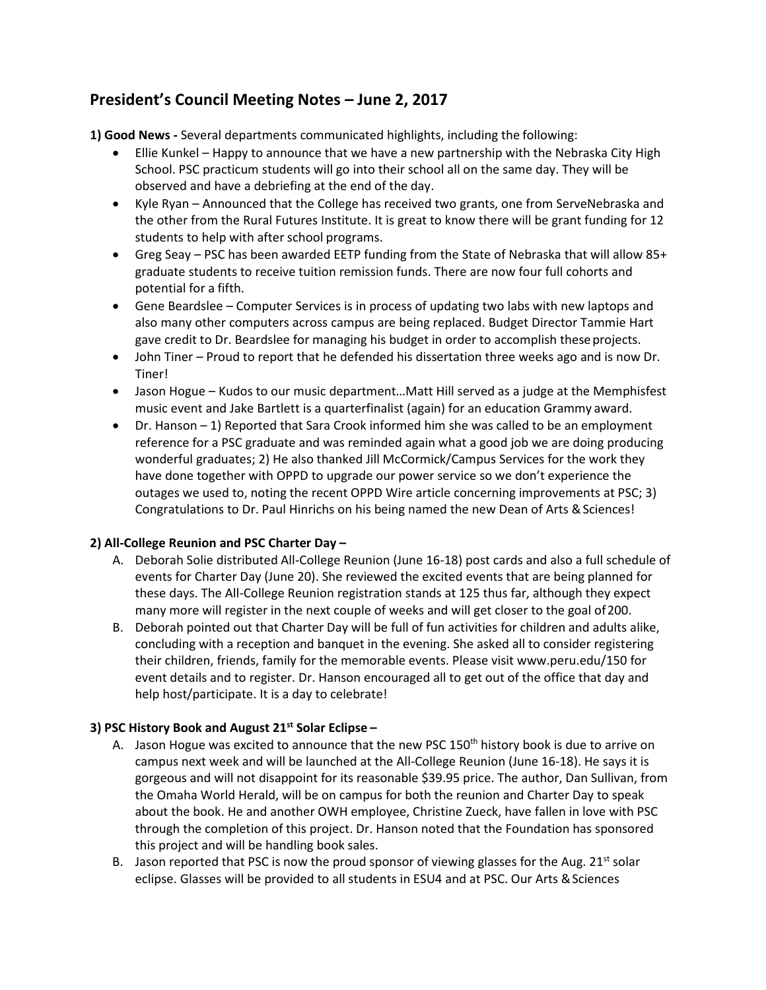# **President's Council Meeting Notes – June 2, 2017**

**1) Good News -** Several departments communicated highlights, including the following:

- Ellie Kunkel Happy to announce that we have a new partnership with the Nebraska City High School. PSC practicum students will go into their school all on the same day. They will be observed and have a debriefing at the end of the day.
- · Kyle Ryan Announced that the College has received two grants, one from ServeNebraska and the other from the Rural Futures Institute. It is great to know there will be grant funding for 12 students to help with after school programs.
- · Greg Seay PSC has been awarded EETP funding from the State of Nebraska that will allow 85+ graduate students to receive tuition remission funds. There are now four full cohorts and potential for a fifth.
- · Gene Beardslee Computer Services is in process of updating two labs with new laptops and also many other computers across campus are being replaced. Budget Director Tammie Hart gave credit to Dr. Beardslee for managing his budget in order to accomplish these projects.
- · John Tiner Proud to report that he defended his dissertation three weeks ago and is now Dr. Tiner!
- · Jason Hogue Kudos to our music department…Matt Hill served as a judge at the Memphisfest music event and Jake Bartlett is a quarterfinalist (again) for an education Grammy award.
- · Dr. Hanson 1) Reported that Sara Crook informed him she was called to be an employment reference for a PSC graduate and was reminded again what a good job we are doing producing wonderful graduates; 2) He also thanked Jill McCormick/Campus Services for the work they have done together with OPPD to upgrade our power service so we don't experience the outages we used to, noting the recent OPPD Wire article concerning improvements at PSC; 3) Congratulations to Dr. Paul Hinrichs on his being named the new Dean of Arts & Sciences!

## **2) All-College Reunion and PSC Charter Day –**

- A. Deborah Solie distributed All-College Reunion (June 16-18) post cards and also a full schedule of events for Charter Day (June 20). She reviewed the excited events that are being planned for these days. The All-College Reunion registration stands at 125 thus far, although they expect many more will register in the next couple of weeks and will get closer to the goal of200.
- B. Deborah pointed out that Charter Day will be full of fun activities for children and adults alike, concluding with a reception and banquet in the evening. She asked all to consider registering their children, friends, family for the memorable events. Please visit www.peru.edu/150 for event details and to register. Dr. Hanson encouraged all to get out of the office that day and help host/participate. It is a day to celebrate!

## **3) PSC History Book and August 21st Solar Eclipse –**

- A. Jason Hogue was excited to announce that the new PSC  $150<sup>th</sup>$  history book is due to arrive on campus next week and will be launched at the All-College Reunion (June 16-18). He says it is gorgeous and will not disappoint for its reasonable \$39.95 price. The author, Dan Sullivan, from the Omaha World Herald, will be on campus for both the reunion and Charter Day to speak about the book. He and another OWH employee, Christine Zueck, have fallen in love with PSC through the completion of this project. Dr. Hanson noted that the Foundation has sponsored this project and will be handling book sales.
- B. Jason reported that PSC is now the proud sponsor of viewing glasses for the Aug.  $21^{st}$  solar eclipse. Glasses will be provided to all students in ESU4 and at PSC. Our Arts & Sciences